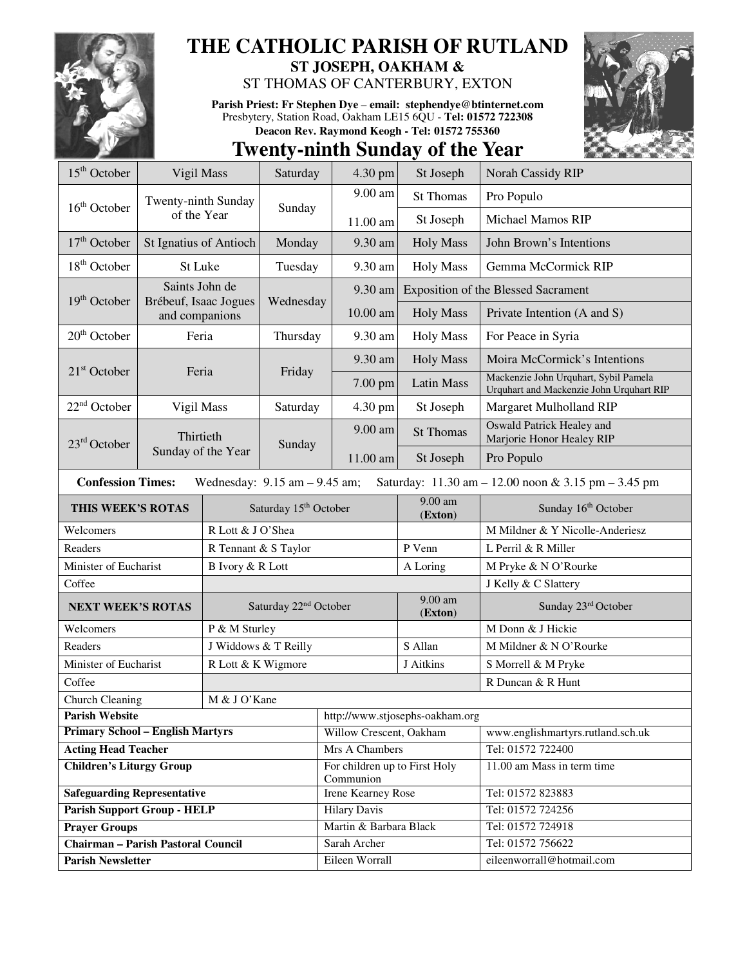

## **THE CATHOLIC PARISH OF RUTLAND**

**ST JOSEPH, OAKHAM &**  ST THOMAS OF CANTERBURY, EXTON

**Parish Priest: Fr Stephen Dye** – **email: stephendye@btinternet.com** Presbytery, Station Road, Oakham LE15 6QU - **Tel: 01572 722308 Deacon Rev. Raymond Keogh - Tel: 01572 755360** 



## **Twenty-ninth Sunday of the Year**

| 15 <sup>th</sup> October                                                                                             | Vigil Mass              |                                   | Saturday              | 4.30 pm                                    | St Joseph            | Norah Cassidy RIP                                                                                                                                                                                                                                                                                                                                                                                                                                                                                                                   |  |
|----------------------------------------------------------------------------------------------------------------------|-------------------------|-----------------------------------|-----------------------|--------------------------------------------|----------------------|-------------------------------------------------------------------------------------------------------------------------------------------------------------------------------------------------------------------------------------------------------------------------------------------------------------------------------------------------------------------------------------------------------------------------------------------------------------------------------------------------------------------------------------|--|
|                                                                                                                      | Twenty-ninth Sunday     |                                   |                       | 9.00 am                                    | <b>St Thomas</b>     | Pro Populo<br><b>Michael Mamos RIP</b><br>John Brown's Intentions<br>Gemma McCormick RIP<br><b>Exposition of the Blessed Sacrament</b><br>Private Intention (A and S)<br>For Peace in Syria<br>Moira McCormick's Intentions<br>Mackenzie John Urquhart, Sybil Pamela<br>Urquhart and Mackenzie John Urquhart RIP<br>Margaret Mulholland RIP<br><b>Oswald Patrick Healey and</b><br>Marjorie Honor Healey RIP<br>Pro Populo<br>Sunday 16th October<br>M Mildner & Y Nicolle-Anderiesz<br>L Perril & R Miller<br>M Pryke & N O'Rourke |  |
| $16th$ October                                                                                                       | of the Year             |                                   | Sunday                | 11.00 am                                   | St Joseph            |                                                                                                                                                                                                                                                                                                                                                                                                                                                                                                                                     |  |
| $17th$ October                                                                                                       | St Ignatius of Antioch  |                                   | Monday                | 9.30 am                                    | <b>Holy Mass</b>     |                                                                                                                                                                                                                                                                                                                                                                                                                                                                                                                                     |  |
| $18th$ October                                                                                                       | St Luke                 |                                   | Tuesday               | 9.30 am                                    | <b>Holy Mass</b>     |                                                                                                                                                                                                                                                                                                                                                                                                                                                                                                                                     |  |
| Saints John de<br>$19th$ October<br>Brébeuf, Isaac Jogues<br>and companions                                          |                         |                                   | Wednesday             | 9.30 am                                    |                      |                                                                                                                                                                                                                                                                                                                                                                                                                                                                                                                                     |  |
|                                                                                                                      |                         |                                   |                       | 10.00 am                                   | <b>Holy Mass</b>     |                                                                                                                                                                                                                                                                                                                                                                                                                                                                                                                                     |  |
| $20th$ October                                                                                                       | Feria                   |                                   | Thursday              | 9.30 am                                    | <b>Holy Mass</b>     |                                                                                                                                                                                                                                                                                                                                                                                                                                                                                                                                     |  |
|                                                                                                                      |                         |                                   |                       | 9.30 am                                    | <b>Holy Mass</b>     |                                                                                                                                                                                                                                                                                                                                                                                                                                                                                                                                     |  |
|                                                                                                                      | $21st$ October<br>Feria |                                   | Friday                | 7.00 pm                                    | <b>Latin Mass</b>    |                                                                                                                                                                                                                                                                                                                                                                                                                                                                                                                                     |  |
| $22nd$ October                                                                                                       | Vigil Mass              |                                   | Saturday              | 4.30 pm                                    | St Joseph            |                                                                                                                                                                                                                                                                                                                                                                                                                                                                                                                                     |  |
| 23 <sup>rd</sup> October                                                                                             | Thirtieth               |                                   | Sunday                | 9.00 am                                    | <b>St Thomas</b>     |                                                                                                                                                                                                                                                                                                                                                                                                                                                                                                                                     |  |
|                                                                                                                      | Sunday of the Year      |                                   |                       | 11.00 am                                   | St Joseph            |                                                                                                                                                                                                                                                                                                                                                                                                                                                                                                                                     |  |
| <b>Confession Times:</b><br>Wednesday: $9.15$ am $- 9.45$ am;<br>Saturday: 11.30 am - 12.00 noon & 3.15 pm - 3.45 pm |                         |                                   |                       |                                            |                      |                                                                                                                                                                                                                                                                                                                                                                                                                                                                                                                                     |  |
| THIS WEEK'S ROTAS                                                                                                    |                         |                                   | Saturday 15th October |                                            | $9.00$ am<br>(Exton) |                                                                                                                                                                                                                                                                                                                                                                                                                                                                                                                                     |  |
| Welcomers                                                                                                            |                         | R Lott & J O'Shea                 |                       |                                            |                      |                                                                                                                                                                                                                                                                                                                                                                                                                                                                                                                                     |  |
| Readers                                                                                                              |                         | R Tennant & S Taylor              |                       |                                            | P Venn               |                                                                                                                                                                                                                                                                                                                                                                                                                                                                                                                                     |  |
| Minister of Eucharist                                                                                                |                         | <b>B</b> Ivory & R Lott           |                       |                                            | A Loring             |                                                                                                                                                                                                                                                                                                                                                                                                                                                                                                                                     |  |
| Coffee                                                                                                               |                         |                                   |                       |                                            |                      | J Kelly & C Slattery                                                                                                                                                                                                                                                                                                                                                                                                                                                                                                                |  |
| <b>NEXT WEEK'S ROTAS</b>                                                                                             |                         | Saturday 22 <sup>nd</sup> October |                       |                                            | 9.00 am<br>(Exton)   | Sunday 23rd October                                                                                                                                                                                                                                                                                                                                                                                                                                                                                                                 |  |
| Welcomers                                                                                                            |                         | P & M Sturley                     |                       |                                            |                      | M Donn & J Hickie                                                                                                                                                                                                                                                                                                                                                                                                                                                                                                                   |  |
| Readers                                                                                                              |                         | J Widdows & T Reilly              |                       |                                            | S Allan              | M Mildner & N O'Rourke                                                                                                                                                                                                                                                                                                                                                                                                                                                                                                              |  |
| Minister of Eucharist                                                                                                |                         | R Lott & K Wigmore                |                       |                                            | J Aitkins            | S Morrell & M Pryke                                                                                                                                                                                                                                                                                                                                                                                                                                                                                                                 |  |
| Coffee                                                                                                               |                         |                                   |                       |                                            |                      | R Duncan & R Hunt                                                                                                                                                                                                                                                                                                                                                                                                                                                                                                                   |  |
| <b>Church Cleaning</b><br>M & J O'Kane                                                                               |                         |                                   |                       |                                            |                      |                                                                                                                                                                                                                                                                                                                                                                                                                                                                                                                                     |  |
| <b>Parish Website</b>                                                                                                |                         |                                   |                       | http://www.stjosephs-oakham.org            |                      |                                                                                                                                                                                                                                                                                                                                                                                                                                                                                                                                     |  |
| <b>Primary School - English Martyrs</b>                                                                              |                         |                                   |                       | Willow Crescent, Oakham                    |                      | www.englishmartyrs.rutland.sch.uk                                                                                                                                                                                                                                                                                                                                                                                                                                                                                                   |  |
| <b>Acting Head Teacher</b>                                                                                           |                         |                                   |                       | Mrs A Chambers                             |                      | Tel: 01572 722400                                                                                                                                                                                                                                                                                                                                                                                                                                                                                                                   |  |
| <b>Children's Liturgy Group</b>                                                                                      |                         |                                   |                       | For children up to First Holy<br>Communion |                      | 11.00 am Mass in term time                                                                                                                                                                                                                                                                                                                                                                                                                                                                                                          |  |
| <b>Safeguarding Representative</b>                                                                                   |                         |                                   |                       | Irene Kearney Rose                         |                      | Tel: 01572 823883                                                                                                                                                                                                                                                                                                                                                                                                                                                                                                                   |  |
| <b>Parish Support Group - HELP</b>                                                                                   |                         |                                   |                       | <b>Hilary Davis</b>                        |                      | Tel: 01572 724256                                                                                                                                                                                                                                                                                                                                                                                                                                                                                                                   |  |
| <b>Prayer Groups</b>                                                                                                 |                         |                                   |                       | Martin & Barbara Black                     |                      | Tel: 01572 724918                                                                                                                                                                                                                                                                                                                                                                                                                                                                                                                   |  |
| <b>Chairman - Parish Pastoral Council</b>                                                                            |                         |                                   |                       | Sarah Archer                               |                      | Tel: 01572 756622                                                                                                                                                                                                                                                                                                                                                                                                                                                                                                                   |  |
| <b>Parish Newsletter</b>                                                                                             |                         |                                   |                       | Eileen Worrall                             |                      | eileenworrall@hotmail.com                                                                                                                                                                                                                                                                                                                                                                                                                                                                                                           |  |